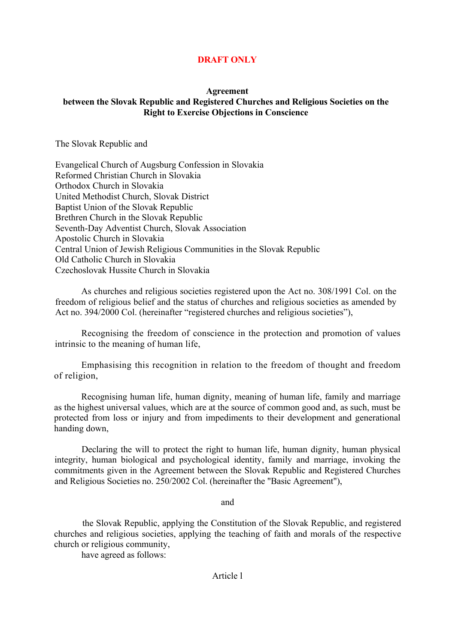## **DRAFT ONLY**

#### **Agreement between the Slovak Republic and Registered Churches and Religious Societies on the Right to Exercise Objections in Conscience**

The Slovak Republic and

Evangelical Church of Augsburg Confession in Slovakia Reformed Christian Church in Slovakia Orthodox Church in Slovakia United Methodist Church, Slovak District Baptist Union of the Slovak Republic Brethren Church in the Slovak Republic Seventh-Day Adventist Church, Slovak Association Apostolic Church in Slovakia Central Union of Jewish Religious Communities in the Slovak Republic Old Catholic Church in Slovakia Czechoslovak Hussite Church in Slovakia

 As churches and religious societies registered upon the Act no. 308/1991 Col. on the freedom of religious belief and the status of churches and religious societies as amended by Act no. 394/2000 Col. (hereinafter "registered churches and religious societies"),

Recognising the freedom of conscience in the protection and promotion of values intrinsic to the meaning of human life,

Emphasising this recognition in relation to the freedom of thought and freedom of religion,

Recognising human life, human dignity, meaning of human life, family and marriage as the highest universal values, which are at the source of common good and, as such, must be protected from loss or injury and from impediments to their development and generational handing down,

Declaring the will to protect the right to human life, human dignity, human physical integrity, human biological and psychological identity, family and marriage, invoking the commitments given in the Agreement between the Slovak Republic and Registered Churches and Religious Societies no. 250/2002 Col. (hereinafter the "Basic Agreement"),

and

the Slovak Republic, applying the Constitution of the Slovak Republic, and registered churches and religious societies, applying the teaching of faith and morals of the respective church or religious community,

have agreed as follows:

#### Article l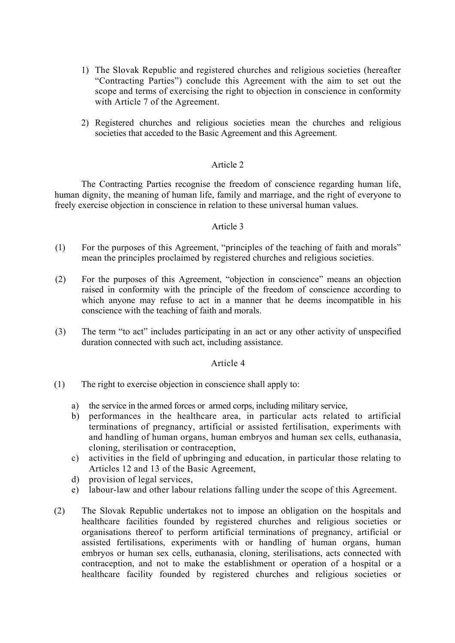- 1) The Slovak Republic and registered churches and religious societies (hereafter "Contracting Parties") conclude this Agreement with the aim to set out the scope and terms of exercising the right to objection in conscience in conformity with Article 7 of the Agreement.
- 2) Registered churches and religious societies mean the churches and religious societies that acceded to the Basic Agreement and this Agreement.

### Article 2

The Contracting Parties recognise the freedom of conscience regarding human life, human dignity, the meaning of human life, family and marriage, and the right of everyone to freely exercise objection in conscience in relation to these universal human values.

#### Article 3

- (1) For the purposes of this Agreement, "principles of the teaching of faith and morals" mean the principles proclaimed by registered churches and religious societies.
- (2) For the purposes of this Agreement, "objection in conscience" means an objection raised in conformity with the principle of the freedom of conscience according to which anyone may refuse to act in a manner that he deems incompatible in his conscience with the teaching of faith and morals.
- (3) The term "to act" includes participating in an act or any other activity of unspecified duration connected with such act, including assistance.

#### Article 4

- (1) The right to exercise objection in conscience shall apply to:
	- a) the service in the armed forces or armed corps, including military service,
	- b) performances in the healthcare area, in particular acts related to artificial terminations of pregnancy, artificial or assisted fertilisation, experiments with and handling of human organs, human embryos and human sex cells, euthanasia, cloning, sterilisation or contraception,
	- c) activities in the field of upbringing and education, in particular those relating to Articles 12 and 13 of the Basic Agreement,
	- d) provision of legal services,
	- e) labour-law and other labour relations falling under the scope of this Agreement.
- (2) The Slovak Republic undertakes not to impose an obligation on the hospitals and healthcare facilities founded by registered churches and religious societies or organisations thereof to perform artificial terminations of pregnancy, artificial or assisted fertilisations, experiments with or handling of human organs, human embryos or human sex cells, euthanasia, cloning, sterilisations, acts connected with contraception, and not to make the establishment or operation of a hospital or a healthcare facility founded by registered churches and religious societies or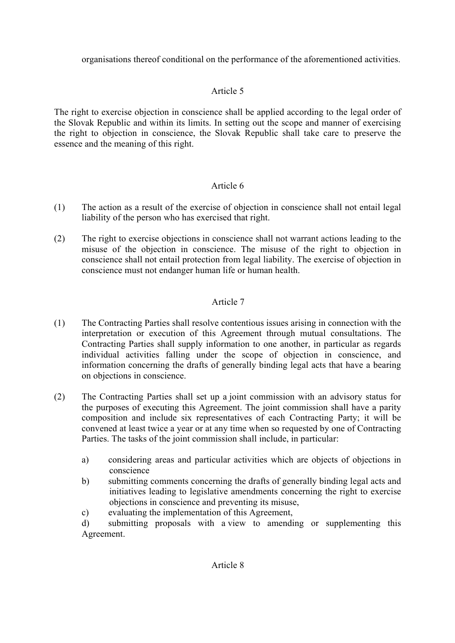organisations thereof conditional on the performance of the aforementioned activities.

# Article 5

The right to exercise objection in conscience shall be applied according to the legal order of the Slovak Republic and within its limits. In setting out the scope and manner of exercising the right to objection in conscience, the Slovak Republic shall take care to preserve the essence and the meaning of this right.

# Article 6

- (1) The action as a result of the exercise of objection in conscience shall not entail legal liability of the person who has exercised that right.
- (2) The right to exercise objections in conscience shall not warrant actions leading to the misuse of the objection in conscience. The misuse of the right to objection in conscience shall not entail protection from legal liability. The exercise of objection in conscience must not endanger human life or human health.

# Article 7

- (1) The Contracting Parties shall resolve contentious issues arising in connection with the interpretation or execution of this Agreement through mutual consultations. The Contracting Parties shall supply information to one another, in particular as regards individual activities falling under the scope of objection in conscience, and information concerning the drafts of generally binding legal acts that have a bearing on objections in conscience.
- (2) The Contracting Parties shall set up a joint commission with an advisory status for the purposes of executing this Agreement. The joint commission shall have a parity composition and include six representatives of each Contracting Party; it will be convened at least twice a year or at any time when so requested by one of Contracting Parties. The tasks of the joint commission shall include, in particular:
	- a) considering areas and particular activities which are objects of objections in conscience
	- b) submitting comments concerning the drafts of generally binding legal acts and initiatives leading to legislative amendments concerning the right to exercise objections in conscience and preventing its misuse,
	- c) evaluating the implementation of this Agreement,

d) submitting proposals with a view to amending or supplementing this Agreement.